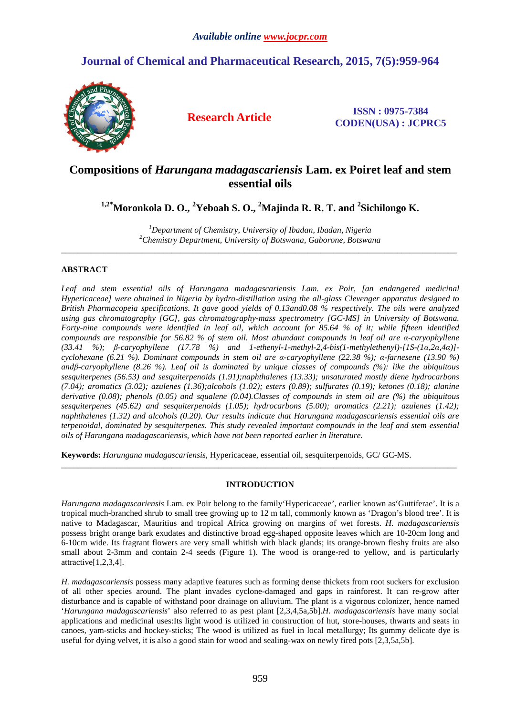# **Journal of Chemical and Pharmaceutical Research, 2015, 7(5):959-964**



**Research Article ISSN : 0975-7384 CODEN(USA) : JCPRC5**

# **Compositions of** *Harungana madagascariensis* **Lam. ex Poiret leaf and stem essential oils**

**1,2\*Moronkola D. O., <sup>2</sup>Yeboah S. O., <sup>2</sup>Majinda R. R. T. and <sup>2</sup> Sichilongo K.**

*<sup>1</sup>Department of Chemistry, University of Ibadan, Ibadan, Nigeria <sup>2</sup>Chemistry Department, University of Botswana, Gaborone, Botswana*   $\overline{a}$  , and the contribution of the contribution of the contribution of the contribution of the contribution of the contribution of the contribution of the contribution of the contribution of the contribution of the co

# **ABSTRACT**

*Leaf and stem essential oils of Harungana madagascariensis Lam. ex Poir, [an endangered medicinal Hypericaceae] were obtained in Nigeria by hydro-distillation using the all-glass Clevenger apparatus designed to British Pharmacopeia specifications. It gave good yields of 0.13and0.08 % respectively. The oils were analyzed using gas chromatography [GC], gas chromatography-mass spectrometry [GC-MS] in University of Botswana. Forty-nine compounds were identified in leaf oil, which account for 85.64 % of it; while fifteen identified compounds are responsible for 56.82 % of stem oil. Most abundant compounds in leaf oil are α-caryophyllene (33.41 %); β-caryophyllene (17.78 %) and 1-ethenyl-1-methyl-2,4-bis(1-methylethenyl)-[1S-(1α,2α,4α)] cyclohexane (6.21 %). Dominant compounds in stem oil are α-caryophyllene (22.38 %); α-farnesene (13.90 %) andβ-caryophyllene (8.26 %). Leaf oil is dominated by unique classes of compounds (%): like the ubiquitous sesquiterpenes (56.53) and sesquiterpenoids (1.91);naphthalenes (13.33); unsaturated mostly diene hydrocarbons (7.04); aromatics (3.02); azulenes (1.36);alcohols (1.02); esters (0.89); sulfurates (0.19); ketones (0.18); alanine derivative (0.08); phenols (0.05) and squalene (0.04).Classes of compounds in stem oil are (%) the ubiquitous sesquiterpenes (45.62) and sesquiterpenoids (1.05); hydrocarbons (5.00); aromatics (2.21); azulenes (1.42); naphthalenes (1.32) and alcohols (0.20). Our results indicate that Harungana madagascariensis essential oils are terpenoidal, dominated by sesquiterpenes. This study revealed important compounds in the leaf and stem essential oils of Harungana madagascariensis, which have not been reported earlier in literature.* 

**Keywords:** *Harungana madagascariensis*, Hypericaceae, essential oil, sesquiterpenoids, GC/ GC-MS.

## **INTRODUCTION**

\_\_\_\_\_\_\_\_\_\_\_\_\_\_\_\_\_\_\_\_\_\_\_\_\_\_\_\_\_\_\_\_\_\_\_\_\_\_\_\_\_\_\_\_\_\_\_\_\_\_\_\_\_\_\_\_\_\_\_\_\_\_\_\_\_\_\_\_\_\_\_\_\_\_\_\_\_\_\_\_\_\_\_\_\_\_\_\_\_\_\_\_\_

*Harungana madagascariensis* Lam. ex Poir belong to the family'Hypericaceae', earlier known as'Guttiferae'. It is a tropical much-branched shrub to small tree growing up to 12 m tall, commonly known as 'Dragon's blood tree'. It is native to Madagascar, Mauritius and tropical Africa growing on margins of wet forests. *H. madagascariensis*  possess bright orange bark exudates and distinctive broad egg-shaped opposite leaves which are 10-20cm long and 6-10cm wide. Its fragrant flowers are very small whitish with black glands; its orange-brown fleshy fruits are also small about 2-3mm and contain 2-4 seeds (Figure 1). The wood is orange-red to yellow, and is particularly attractive[1,2,3,4].

*H. madagascariensis* possess many adaptive features such as forming dense thickets from root suckers for exclusion of all other species around. The plant invades cyclone-damaged and gaps in rainforest. It can re-grow after disturbance and is capable of withstand poor drainage on alluvium. The plant is a vigorous colonizer, hence named '*Harungana madagascariensis*' also referred to as pest plant [2,3,4,5a,5b].*H. madagascariensis* have many social applications and medicinal uses:Its light wood is utilized in construction of hut, store-houses, thwarts and seats in canoes, yam-sticks and hockey-sticks; The wood is utilized as fuel in local metallurgy; Its gummy delicate dye is useful for dying velvet, it is also a good stain for wood and sealing-wax on newly fired pots [2,3,5a,5b].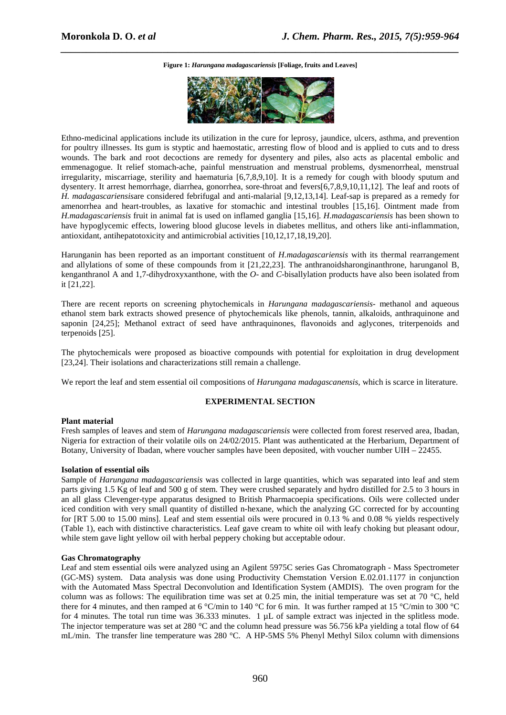*\_\_\_\_\_\_\_\_\_\_\_\_\_\_\_\_\_\_\_\_\_\_\_\_\_\_\_\_\_\_\_\_\_\_\_\_\_\_\_\_\_\_\_\_\_\_\_\_\_\_\_\_\_\_\_\_\_\_\_\_\_\_\_\_\_\_\_\_\_\_\_\_\_\_\_\_\_\_* **Figure 1:** *Harungana madagascariensis* **[Foliage, fruits and Leaves]** 



Ethno-medicinal applications include its utilization in the cure for leprosy, jaundice, ulcers, asthma, and prevention for poultry illnesses. Its gum is styptic and haemostatic, arresting flow of blood and is applied to cuts and to dress wounds. The bark and root decoctions are remedy for dysentery and piles, also acts as placental embolic and emmenagogue. It relief stomach-ache, painful menstruation and menstrual problems, dysmenorrheal, menstrual irregularity, miscarriage, sterility and haematuria [6,7,8,9,10]. It is a remedy for cough with bloody sputum and dysentery. It arrest hemorrhage, diarrhea, gonorrhea, sore-throat and fevers[6,7,8,9,10,11,12]. The leaf and roots of *H. madagascariensis*are considered febrifugal and anti-malarial [9,12,13,14]. Leaf-sap is prepared as a remedy for amenorrhea and heart-troubles, as laxative for stomachic and intestinal troubles [15,16]. Ointment made from *H.madagascariensis* fruit in animal fat is used on inflamed ganglia [15,16]. *H.madagascariensis* has been shown to have hypoglycemic effects, lowering blood glucose levels in diabetes mellitus, and others like anti-inflammation, antioxidant, antihepatotoxicity and antimicrobial activities [10,12,17,18,19,20].

Harunganin has been reported as an important constituent of *H.madagascariensis* with its thermal rearrangement and allylations of some of these compounds from it [21,22,23]. The anthranoidsharonginanthrone, harunganol B, kenganthranol A and 1,7-dihydroxyxanthone, with the *O*- and *C*-bisallylation products have also been isolated from it [21,22].

There are recent reports on screening phytochemicals in *Harungana madagascariensis*- methanol and aqueous ethanol stem bark extracts showed presence of phytochemicals like phenols, tannin, alkaloids, anthraquinone and saponin [24,25]; Methanol extract of seed have anthraquinones, flavonoids and aglycones, triterpenoids and terpenoids [25].

The phytochemicals were proposed as bioactive compounds with potential for exploitation in drug development [23,24]. Their isolations and characterizations still remain a challenge.

We report the leaf and stem essential oil compositions of *Harungana madagascanensis*, which is scarce in literature.

#### **EXPERIMENTAL SECTION**

#### **Plant material**

Fresh samples of leaves and stem of *Harungana madagascariensis* were collected from forest reserved area, Ibadan, Nigeria for extraction of their volatile oils on 24/02/2015. Plant was authenticated at the Herbarium, Department of Botany, University of Ibadan, where voucher samples have been deposited, with voucher number UIH – 22455.

#### **Isolation of essential oils**

Sample of *Harungana madagascariensis* was collected in large quantities, which was separated into leaf and stem parts giving 1.5 Kg of leaf and 500 g of stem. They were crushed separately and hydro distilled for 2.5 to 3 hours in an all glass Clevenger-type apparatus designed to British Pharmacoepia specifications. Oils were collected under iced condition with very small quantity of distilled n-hexane, which the analyzing GC corrected for by accounting for [RT 5.00 to 15.00 mins]. Leaf and stem essential oils were procured in 0.13 % and 0.08 % yields respectively (Table 1), each with distinctive characteristics. Leaf gave cream to white oil with leafy choking but pleasant odour, while stem gave light yellow oil with herbal peppery choking but acceptable odour.

#### **Gas Chromatography**

Leaf and stem essential oils were analyzed using an Agilent 5975C series Gas Chromatograph - Mass Spectrometer (GC-MS) system. Data analysis was done using Productivity Chemstation Version E.02.01.1177 in conjunction with the Automated Mass Spectral Deconvolution and Identification System (AMDIS). The oven program for the column was as follows: The equilibration time was set at 0.25 min, the initial temperature was set at 70 °C, held there for 4 minutes, and then ramped at 6 °C/min to 140 °C for 6 min. It was further ramped at 15 °C/min to 300 °C for 4 minutes. The total run time was 36.333 minutes. 1 µL of sample extract was injected in the splitless mode. The injector temperature was set at 280 °C and the column head pressure was 56.756 kPa yielding a total flow of 64 mL/min. The transfer line temperature was 280 °C. A HP-5MS 5% Phenyl Methyl Silox column with dimensions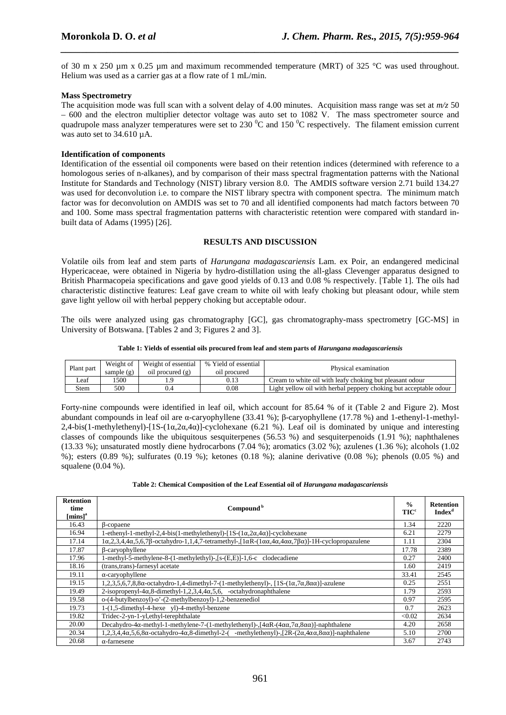of 30 m x 250 µm x 0.25 µm and maximum recommended temperature (MRT) of 325 °C was used throughout. Helium was used as a carrier gas at a flow rate of 1 mL/min.

*\_\_\_\_\_\_\_\_\_\_\_\_\_\_\_\_\_\_\_\_\_\_\_\_\_\_\_\_\_\_\_\_\_\_\_\_\_\_\_\_\_\_\_\_\_\_\_\_\_\_\_\_\_\_\_\_\_\_\_\_\_\_\_\_\_\_\_\_\_\_\_\_\_\_\_\_\_\_*

### **Mass Spectrometry**

The acquisition mode was full scan with a solvent delay of 4.00 minutes. Acquisition mass range was set at  $m/z$  50 – 600 and the electron multiplier detector voltage was auto set to 1082 V. The mass spectrometer source and quadrupole mass analyzer temperatures were set to 230  $^0$ C and 150  $^0$ C respectively. The filament emission current was auto set to 34.610 µA.

#### **Identification of components**

Identification of the essential oil components were based on their retention indices (determined with reference to a homologous series of n-alkanes), and by comparison of their mass spectral fragmentation patterns with the National Institute for Standards and Technology (NIST) library version 8.0. The AMDIS software version 2.71 build 134.27 was used for deconvolution i.e. to compare the NIST library spectra with component spectra. The minimum match factor was for deconvolution on AMDIS was set to 70 and all identified components had match factors between 70 and 100. Some mass spectral fragmentation patterns with characteristic retention were compared with standard inbuilt data of Adams (1995) [26].

### **RESULTS AND DISCUSSION**

Volatile oils from leaf and stem parts of *Harungana madagascariensis* Lam. ex Poir, an endangered medicinal Hypericaceae, were obtained in Nigeria by hydro-distillation using the all-glass Clevenger apparatus designed to British Pharmacopeia specifications and gave good yields of 0.13 and 0.08 % respectively. [Table 1]. The oils had characteristic distinctive features: Leaf gave cream to white oil with leafy choking but pleasant odour, while stem gave light yellow oil with herbal peppery choking but acceptable odour.

The oils were analyzed using gas chromatography [GC], gas chromatography-mass spectrometry [GC-MS] in University of Botswana. [Tables 2 and 3; Figures 2 and 3].

#### **Table 1: Yields of essential oils procured from leaf and stem parts of** *Harungana madagascariensis*

| Plant part | Weight of<br>sample $(g)$ | Weight of essential<br>oil procured (g) | % Yield of essential<br>oil procured | Physical examination                                              |
|------------|---------------------------|-----------------------------------------|--------------------------------------|-------------------------------------------------------------------|
| Leaf       | 1500                      | 1.9                                     | 0.13                                 | Cream to white oil with leafy choking but pleasant odour          |
| Stem       | 500                       | 0.4                                     | $_{0.08}$                            | Light yellow oil with herbal peppery choking but acceptable odour |

Forty-nine compounds were identified in leaf oil, which account for 85.64 % of it (Table 2 and Figure 2). Most abundant compounds in leaf oil are α-caryophyllene (33.41 %); β-caryophyllene (17.78 %) and 1-ethenyl-1-methyl-2,4-bis(1-methylethenyl)-[1S-(1 $\alpha$ ,2 $\alpha$ ,4 $\alpha$ )]-cyclohexane (6.21 %). Leaf oil is dominated by unique and interesting classes of compounds like the ubiquitous sesquiterpenes (56.53 %) and sesquiterpenoids (1.91 %); naphthalenes (13.33 %); unsaturated mostly diene hydrocarbons (7.04 %); aromatics (3.02 %); azulenes (1.36 %); alcohols (1.02 %); esters (0.89 %); sulfurates (0.19 %); ketones (0.18 %); alanine derivative (0.08 %); phenols (0.05 %) and squalene (0.04 %).

| <b>Retention</b><br>time<br>${\rm [mins]^a}$ | Compound <sup>b</sup>                                                                                                                                        | $\frac{0}{0}$<br><b>TIC<sup>c</sup></b> | <b>Retention</b><br><b>Index<sup>d</sup></b> |
|----------------------------------------------|--------------------------------------------------------------------------------------------------------------------------------------------------------------|-----------------------------------------|----------------------------------------------|
| 16.43                                        | $\beta$ -copaene                                                                                                                                             | 1.34                                    | 2220                                         |
| 16.94                                        | 1-ethenyl-1-methyl-2,4-bis(1-methylethenyl)-[1S- $(1\alpha, 2\alpha, 4\alpha)$ ]-cyclohexane                                                                 | 6.21                                    | 2279                                         |
| 17.14                                        | $1\alpha,2,3,4,4\alpha,5,6,7\beta$ -octahydro-1,1,4,7-tetramethyl-, $1\alpha R$ - $(1\alpha\alpha,4\alpha,4\alpha\alpha,7\beta\alpha)$ ]-1H-cyclopropazulene | 1.11                                    | 2304                                         |
| 17.87                                        | β-caryophyllene                                                                                                                                              | 17.78                                   | 2389                                         |
| 17.96                                        | 1-methyl-5-methylene-8-(1-methylethyl)-, [s-(E,E)]-1, 6-c clodecadiene                                                                                       | 0.27                                    | 2400                                         |
| 18.16                                        | (trans, trans)-farnesyl acetate                                                                                                                              | 1.60                                    | 2419                                         |
| 19.11                                        | $\alpha$ -caryophyllene                                                                                                                                      | 33.41                                   | 2545                                         |
| 19.15                                        | $1,2,3,5,6,7,8,8\alpha$ -octahydro-1,4-dimethyl-7-(1-methylethenyl)-, [1S-(1 $\alpha$ ,7 $\alpha$ ,8 $\alpha$ $\alpha$ )]-azulene                            | 0.25                                    | 2551                                         |
| 19.49                                        | 2-isopropenyl-4 $\alpha$ ,8-dimethyl-1,2,3,4,4 $\alpha$ ,5,6, -octahydronaphthalene                                                                          | 1.79                                    | 2593                                         |
| 19.58                                        | o-(4-butylbenzoyl)-o'-(2-methylbenzoyl)-1,2-benzenediol                                                                                                      | 0.97                                    | 2595                                         |
| 19.73                                        | 1-(1,5-dimethyl-4-hexe yl)-4-methyl-benzene                                                                                                                  | 0.7                                     | 2623                                         |
| 19.82                                        | Tridec-2-yn-1-yl,ethyl-terephthalate                                                                                                                         | < 0.02                                  | 2634                                         |
| 20.00                                        | Decahydro-4 $\alpha$ -methyl-1-methylene-7-(1-methylethenyl)- $\frac{1}{4}\alpha R$ - $\frac{4\alpha\alpha}{7\alpha,8\alpha\alpha}$ ]-naphthalene            | 4.20                                    | 2658                                         |
| 20.34                                        | $1,2,3,4,4\alpha,5,6,8\alpha$ -octahydro-4 $\alpha,8$ -dimethyl-2-(-methylethenyl)-,[2R- $(2\alpha,4\alpha\alpha,8\alpha\alpha)$ ]-naphthalene               | 5.10                                    | 2700                                         |
| 20.68                                        | $\alpha$ -farnesene                                                                                                                                          |                                         | 2743                                         |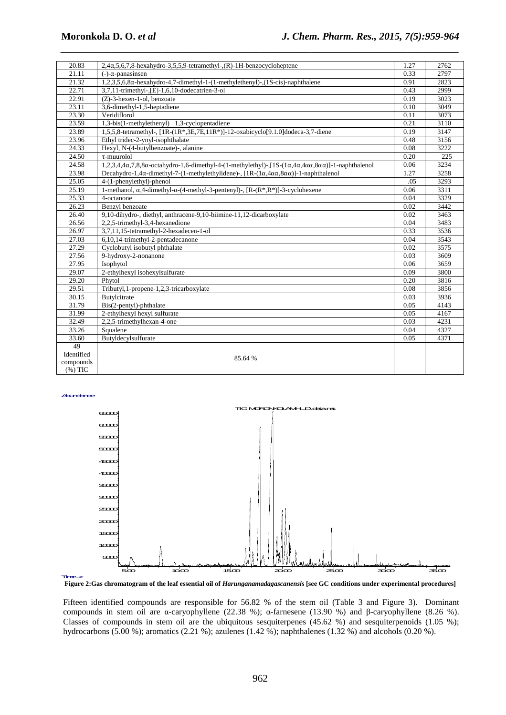| 20.83              | $2,4\alpha,5,6,7,8$ -hexahydro-3,5,5,9-tetramethyl-,(R)-1H-benzocycloheptene                                                                                            | 1.27 | 2762 |
|--------------------|-------------------------------------------------------------------------------------------------------------------------------------------------------------------------|------|------|
| 21.11              | $(-)$ - $\alpha$ -panasinsen                                                                                                                                            |      | 2797 |
| 21.32              | 1,2,3,5,6,8α-hexahydro-4,7-dimethyl-1-(1-methylethenyl)-,(1S-cis)-naphthalene                                                                                           |      | 2823 |
| 22.71              | 3,7,11-trimethyl-,[E]-1,6,10-dodecatrien-3-ol                                                                                                                           | 0.43 | 2999 |
| 22.91              | $(Z)$ -3-hexen-1-ol, benzoate                                                                                                                                           | 0.19 | 3023 |
| 23.11              | 3,6-dimethyl-1,5-heptadiene                                                                                                                                             | 0.10 | 3049 |
| 23.30              | Veridiflorol                                                                                                                                                            | 0.11 | 3073 |
| 23.59              | 1,3-bis(1-methylethenyl) 1,3-cyclopentadiene                                                                                                                            | 0.21 | 3110 |
| 23.89              | $1,5,5,8$ -tetramethyl-, $[1R-(1R*,3E,7E,11R*)]-12$ -oxabicyclo $[9.1.0]$ dodeca-3,7-diene                                                                              | 0.19 | 3147 |
| 23.96              | Ethyl tridec-2-ynyl-isophthalate                                                                                                                                        | 0.48 | 3156 |
| 24.33              | Hexyl, N-(4-butylbenzoate)-, alanine                                                                                                                                    |      | 3222 |
| 24.50              | $\tau$ -muurolol                                                                                                                                                        |      | 225  |
| 24.58              | 1,2,3,4,4 $\alpha$ ,7,8,8 $\alpha$ -octahydro-1,6-dimethyl-4-(1-methylethyl)-,[1S-(1 $\alpha$ ,4 $\alpha$ ,4 $\alpha$ , $\alpha$ ,8 $\alpha$ $\alpha$ )]-1-naphthalenol | 0.06 | 3234 |
| 23.98              | Decahydro-1,4 $\alpha$ -dimethyl-7-(1-methylethylidene)-, [1R-(1 $\alpha$ ,4 $\alpha\alpha$ ,8 $\alpha\alpha$ )]-1-naphthalenol                                         | 1.27 | 3258 |
| 25.05              | 4-(1-phenylethyl)-phenol                                                                                                                                                | .05  | 3293 |
| 25.19              | 1-methanol, $\alpha$ , 4-dimethyl- $\alpha$ -(4-methyl-3-pentenyl)-, [R- $(R^*, R^*)$ ]-3-cyclohexene                                                                   | 0.06 | 3311 |
| 25.33              | 4-octanone                                                                                                                                                              | 0.04 | 3329 |
| 26.23              | Benzvl benzoate                                                                                                                                                         | 0.02 | 3442 |
| 26.40              | 9,10-dihydro-, diethyl, anthracene-9,10-biimine-11,12-dicarboxylate                                                                                                     | 0.02 | 3463 |
| 26.56              | 2,2,5-trimethyl-3,4-hexanedione                                                                                                                                         | 0.04 | 3483 |
| 26.97              | 3,7,11,15-tetramethyl-2-hexadecen-1-ol                                                                                                                                  | 0.33 | 3536 |
| $\overline{27.03}$ | 6,10,14-trimethyl-2-pentadecanone                                                                                                                                       | 0.04 | 3543 |
| 27.29              | Cyclobutyl isobutyl phthalate                                                                                                                                           | 0.02 | 3575 |
| 27.56              | 9-hydroxy-2-nonanone                                                                                                                                                    | 0.03 | 3609 |
| 27.95              | Isophytol                                                                                                                                                               | 0.06 | 3659 |
| 29.07              | 2-ethylhexyl isohexylsulfurate                                                                                                                                          | 0.09 | 3800 |
| 29.20              | Phytol                                                                                                                                                                  | 0.20 | 3816 |
| 29.51              | Tributyl, 1-propene-1, 2, 3-tricarboxylate                                                                                                                              | 0.08 | 3856 |
| 30.15              | Butylcitrate                                                                                                                                                            | 0.03 | 3936 |
| 31.79              | Bis(2-pentyl)-phthalate                                                                                                                                                 | 0.05 | 4143 |
| 31.99              | 2-ethylhexyl hexyl sulfurate                                                                                                                                            | 0.05 | 4167 |
| 32.49              | 2,2,5-trimethylhexan-4-one                                                                                                                                              | 0.03 | 4231 |
| 33.26              | Squalene                                                                                                                                                                | 0.04 | 4327 |
| 33.60              | Butyldecylsulfurate                                                                                                                                                     | 0.05 | 4371 |
| 49                 |                                                                                                                                                                         |      |      |
| Identified         | 85.64 %                                                                                                                                                                 |      |      |
| compounds          |                                                                                                                                                                         |      |      |
| $(% )$ TIC         |                                                                                                                                                                         |      |      |

*\_\_\_\_\_\_\_\_\_\_\_\_\_\_\_\_\_\_\_\_\_\_\_\_\_\_\_\_\_\_\_\_\_\_\_\_\_\_\_\_\_\_\_\_\_\_\_\_\_\_\_\_\_\_\_\_\_\_\_\_\_\_\_\_\_\_\_\_\_\_\_\_\_\_\_\_\_\_*

Abundance



**Figure 2:Gas chromatogram of the leaf essential oil of** *Harunganamadagascanensis* **[see GC conditions under experimental procedures]**  Time-->

Fifteen identified compounds are responsible for 56.82 % of the stem oil (Table 3 and Figure 3). Dominant compounds in stem oil are α-caryophyllene (22.38 %); α-farnesene (13.90 %) and β-caryophyllene (8.26 %). Classes of compounds in stem oil are the ubiquitous sesquiterpenes  $(45.62 \%)$  and sesquiterpenoids  $(1.05 \%)$ ; hydrocarbons (5.00 %); aromatics (2.21 %); azulenes (1.42 %); naphthalenes (1.32 %) and alcohols (0.20 %).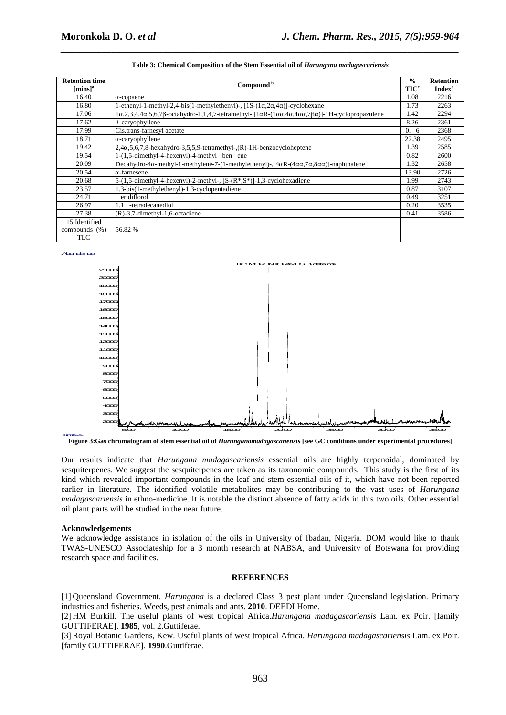| <b>Retention time</b><br>${\rm [mins]^a}$ | Compound <sup>b</sup>                                                                                                                                               | $\frac{0}{0}$<br><b>TIC</b> <sup>c</sup> | <b>Retention</b><br><b>Index</b> <sup>d</sup> |
|-------------------------------------------|---------------------------------------------------------------------------------------------------------------------------------------------------------------------|------------------------------------------|-----------------------------------------------|
| 16.40                                     | $\alpha$ -copaene                                                                                                                                                   | 1.08                                     | 2216                                          |
| 16.80                                     | 1-ethenyl-1-methyl-2,4-bis(1-methylethenyl)-, $[1S-(1\alpha,2\alpha,4\alpha)]$ -cyclohexane                                                                         | 1.73                                     | 2263                                          |
| 17.06                                     | $1\alpha,2,3,4,4\alpha,5,6,7\beta$ -octahydro-1,1,4,7-tetramethyl- $\left[1\alpha R-(1\alpha\alpha,4\alpha,4\alpha\alpha,7\beta\alpha)\right]$ -1H-cyclopropazulene | 1.42                                     | 2294                                          |
| 17.62                                     | β-caryophyllene                                                                                                                                                     | 8.26                                     | 2361                                          |
| 17.99                                     | Cis, trans-farnesyl acetate                                                                                                                                         | 0.<br>-6                                 | 2368                                          |
| 18.71                                     | $\alpha$ -caryophyllene                                                                                                                                             | 22.38                                    | 2495                                          |
| 19.42                                     | $2,4\alpha,5,6,7,8$ -hexahydro-3,5,5,9-tetramethyl-,(R)-1H-benzocycloheptene                                                                                        | 1.39                                     | 2585                                          |
| 19.54                                     | 1-(1,5-dimethyl-4-hexenyl)-4-methyl ben ene                                                                                                                         | 0.82                                     | 2600                                          |
| 20.09                                     | Decahydro-4 $\alpha$ -methyl-1-methylene-7-(1-methylethenyl)-, $[4\alpha R-(4\alpha\alpha,7\alpha,8\alpha\alpha)]$ -naphthalene                                     | 1.32                                     | 2658                                          |
| 20.54                                     | $\alpha$ -farnesene                                                                                                                                                 | 13.90                                    | 2726                                          |
| 20.68                                     | 5-(1,5-dimethyl-4-hexenyl)-2-methyl-, [S-(R*,S*)]-1,3-cyclohexadiene                                                                                                | 1.99                                     | 2743                                          |
| 23.57                                     | 1,3-bis(1-methylethenyl)-1,3-cyclopentadiene                                                                                                                        | 0.87                                     | 3107                                          |
| 24.71                                     | eridiflorol                                                                                                                                                         | 0.49                                     | 3251                                          |
| 26.97                                     | -tetradecanediol<br>1.1                                                                                                                                             | 0.20                                     | 3535                                          |
| 27.38                                     | $(R)-3,7$ -dimethyl-1,6-octadiene                                                                                                                                   | 0.41                                     | 3586                                          |
| 15 Identified                             |                                                                                                                                                                     |                                          |                                               |
| compounds $(\%)$                          | 56.82 %                                                                                                                                                             |                                          |                                               |
| <b>TLC</b>                                |                                                                                                                                                                     |                                          |                                               |

| Table 3: Chemical Composition of the Stem Essential oil of <i>Harungana madagascariensis</i> |
|----------------------------------------------------------------------------------------------|

#### Abundance



**Figure 3:Gas chromatogram of stem essential oil of** *Harunganamadagascanensis* **[see GC conditions under experimental procedures]**  Time-->

Our results indicate that *Harungana madagascariensis* essential oils are highly terpenoidal, dominated by sesquiterpenes. We suggest the sesquiterpenes are taken as its taxonomic compounds. This study is the first of its kind which revealed important compounds in the leaf and stem essential oils of it, which have not been reported earlier in literature. The identified volatile metabolites may be contributing to the vast uses of *Harungana madagascariensis* in ethno-medicine. It is notable the distinct absence of fatty acids in this two oils. Other essential oil plant parts will be studied in the near future.

#### **Acknowledgements**

We acknowledge assistance in isolation of the oils in University of Ibadan, Nigeria. DOM would like to thank TWAS-UNESCO Associateship for a 3 month research at NABSA, and University of Botswana for providing research space and facilities.

#### **REFERENCES**

[1] Queensland Government. *Harungana* is a declared Class 3 pest plant under Queensland legislation. Primary industries and fisheries. Weeds, pest animals and ants. **2010**. DEEDI Home.

[2] HM Burkill. The useful plants of west tropical Africa.*Harungana madagascariensis* Lam. ex Poir. [family GUTTIFERAE]. **1985**, vol. 2.Guttiferae.

[3] Royal Botanic Gardens, Kew. Useful plants of west tropical Africa. *Harungana madagascariensis* Lam. ex Poir. [family GUTTIFERAE]. **1990**.Guttiferae.